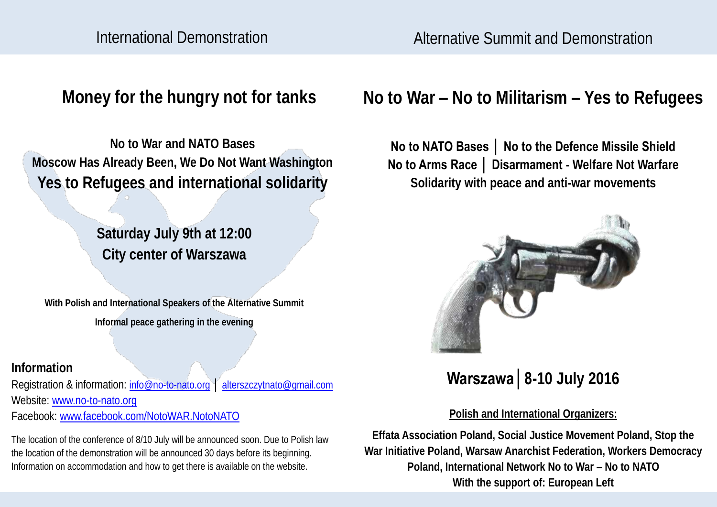Alternative Summit and Demonstration

**Money for the hungry not for tanks**

**No to War and NATO Bases Moscow Has Already Been, We Do Not Want Washington Yes to Refugees and international solidarity**

> **Saturday July 9th at 12:00 City center of Warszawa**

**With Polish and International Speakers of the Alternative Summit Informal peace gathering in the evening** 

**Information**

Registration & information: [info@no-to-nato.org](mailto:info@no-to-nato.org) │ [alterszczytnato@gmail.com](mailto:alterszczytnato@gmail.com)  Website: [www.no-to-nato.org](http://www.no-to-nato.org) Facebook: [www.facebook.com/NotoWAR.NotoNATO](http://www.facebook.com/NotoWAR.NotoNATO) 

The location of the conference of 8/10 July will be announced soon. Due to Polish law the location of the demonstration will be announced 30 days before its beginning. Information on accommodation and how to get there is available on the website.

# **No to War – No to Militarism – Yes to Refugees**

# **No to NATO Bases │ No to the Defence Missile Shield No to Arms Race │ Disarmament - Welfare Not Warfare Solidarity with peace and anti-war movements**



**Warszawa│8-10 July 2016**

## **Polish and International Organizers:**

**Effata Association Poland, Social Justice Movement Poland, Stop the War Initiative Poland, Warsaw Anarchist Federation, Workers Democracy Poland, International Network No to War – No to NATO With the support of: European Left**